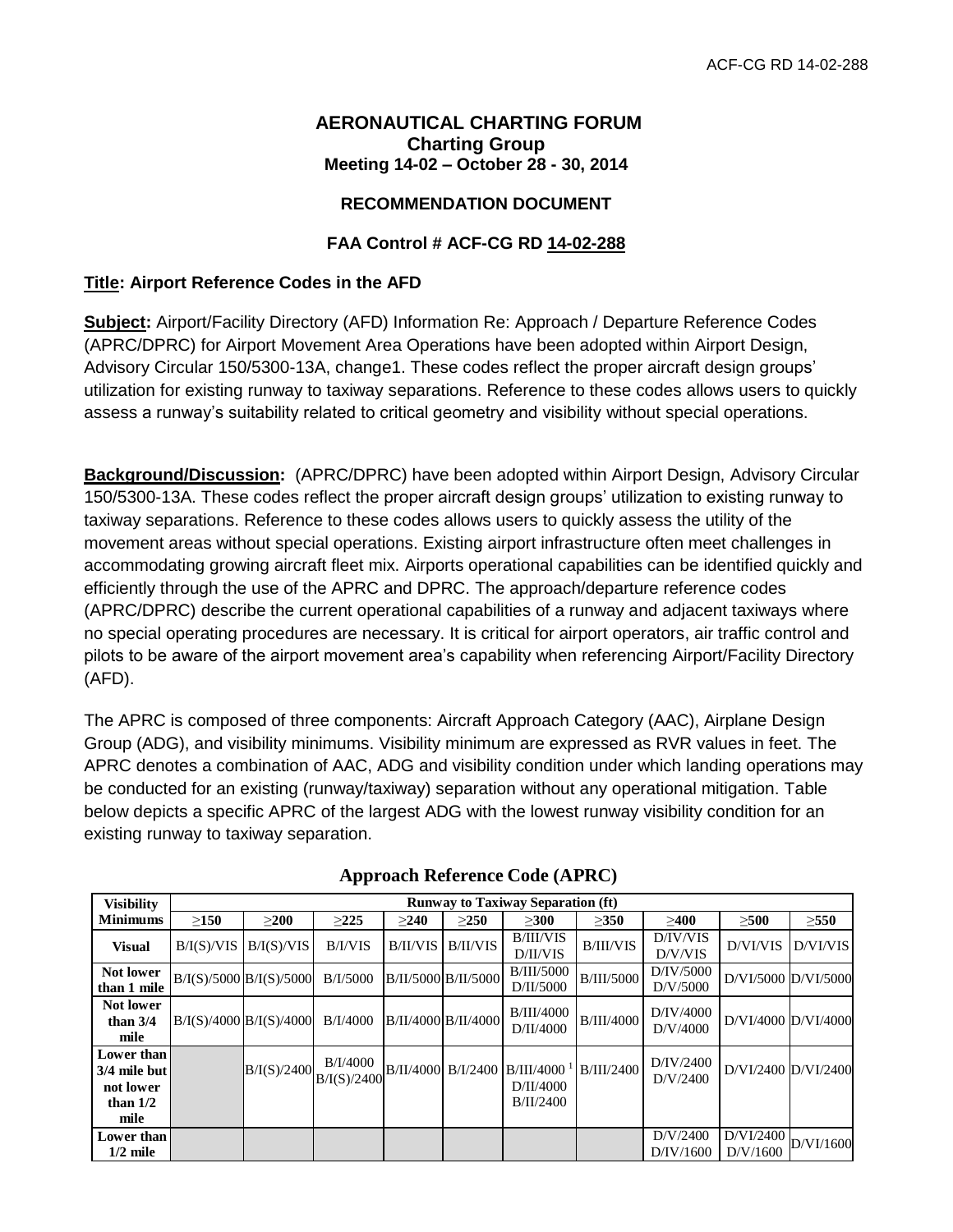## **AERONAUTICAL CHARTING FORUM Charting Group Meeting 14-02 – October 28 - 30, 2014**

# **RECOMMENDATION DOCUMENT**

# **FAA Control # ACF-CG RD 14-02-288**

## **Title: Airport Reference Codes in the AFD**

**Subject:** Airport/Facility Directory (AFD) Information Re: Approach / Departure Reference Codes (APRC/DPRC) for Airport Movement Area Operations have been adopted within Airport Design, Advisory Circular 150/5300-13A, change1. These codes reflect the proper aircraft design groups' utilization for existing runway to taxiway separations. Reference to these codes allows users to quickly assess a runway's suitability related to critical geometry and visibility without special operations.

**Background/Discussion:** (APRC/DPRC) have been adopted within Airport Design, Advisory Circular 150/5300-13A. These codes reflect the proper aircraft design groups' utilization to existing runway to taxiway separations. Reference to these codes allows users to quickly assess the utility of the movement areas without special operations. Existing airport infrastructure often meet challenges in accommodating growing aircraft fleet mix. Airports operational capabilities can be identified quickly and efficiently through the use of the APRC and DPRC. The approach/departure reference codes (APRC/DPRC) describe the current operational capabilities of a runway and adjacent taxiways where no special operating procedures are necessary. It is critical for airport operators, air traffic control and pilots to be aware of the airport movement area's capability when referencing Airport/Facility Directory (AFD).

The APRC is composed of three components: Aircraft Approach Category (AAC), Airplane Design Group (ADG), and visibility minimums. Visibility minimum are expressed as RVR values in feet. The APRC denotes a combination of AAC, ADG and visibility condition under which landing operations may be conducted for an existing (runway/taxiway) separation without any operational mitigation. Table below depicts a specific APRC of the largest ADG with the lowest runway visibility condition for an existing runway to taxiway separation.

| <b>Visibility</b>                                             | <b>Runway to Taxiway Separation (ft)</b> |             |                         |                     |                     |                                                       |                   |                       |                       |            |
|---------------------------------------------------------------|------------------------------------------|-------------|-------------------------|---------------------|---------------------|-------------------------------------------------------|-------------------|-----------------------|-----------------------|------------|
| <b>Minimums</b>                                               | >150                                     | >200        | >225                    | >240                | >250                | >300                                                  | >350              | >400                  | >500                  | $\geq$ 550 |
| <b>Visual</b>                                                 | B/I(S)/VIS                               | B/I(S)/VIS  | B/I/VIS                 | B/II/VIS            | B/II/VIS            | <b>B/III/VIS</b><br>D/II/VIS                          | <b>B/III/VIS</b>  | D/IV/VIS<br>D/V/VIS   | D/VI/VIS              | D/VI/VIS   |
| Not lower<br>than 1 mile                                      | $B/I(S)/5000$ $B/I(S)/5000$              |             | B/I/5000                |                     | B/II/5000 B/II/5000 | <b>B/III/5000</b><br>D/II/5000                        | <b>B/III/5000</b> | D/IV/5000<br>D/V/5000 | D/VI/5000 D/VI/5000   |            |
| Not lower<br>than $3/4$<br>mile                               | $B/I(S)/4000$ $B/I(S)/4000$              |             | B/I/4000                | B/II/4000 B/II/4000 |                     | B/III/4000<br>D/II/4000                               | <b>B/III/4000</b> | D/IV/4000<br>D/V/4000 | D/VI/4000 D/VI/4000   |            |
| Lower than<br>3/4 mile but<br>not lower<br>than $1/2$<br>mile |                                          | B/I(S)/2400 | B/I/4000<br>B/I(S)/2400 |                     | B/II/4000 B/I/2400  | $B/III/4000-1$<br>D/II/4000<br>B/I <sub>I</sub> /2400 | <b>B/III/2400</b> | D/IV/2400<br>D/V/2400 | D/VI/2400 D/VI/2400   |            |
| Lower than<br>$1/2$ mile                                      |                                          |             |                         |                     |                     |                                                       |                   | D/V/2400<br>D/IV/1600 | D/VI/2400<br>D/V/1600 | D/VI/1600  |

|  | <b>Approach Reference Code (APRC)</b> |  |  |
|--|---------------------------------------|--|--|
|--|---------------------------------------|--|--|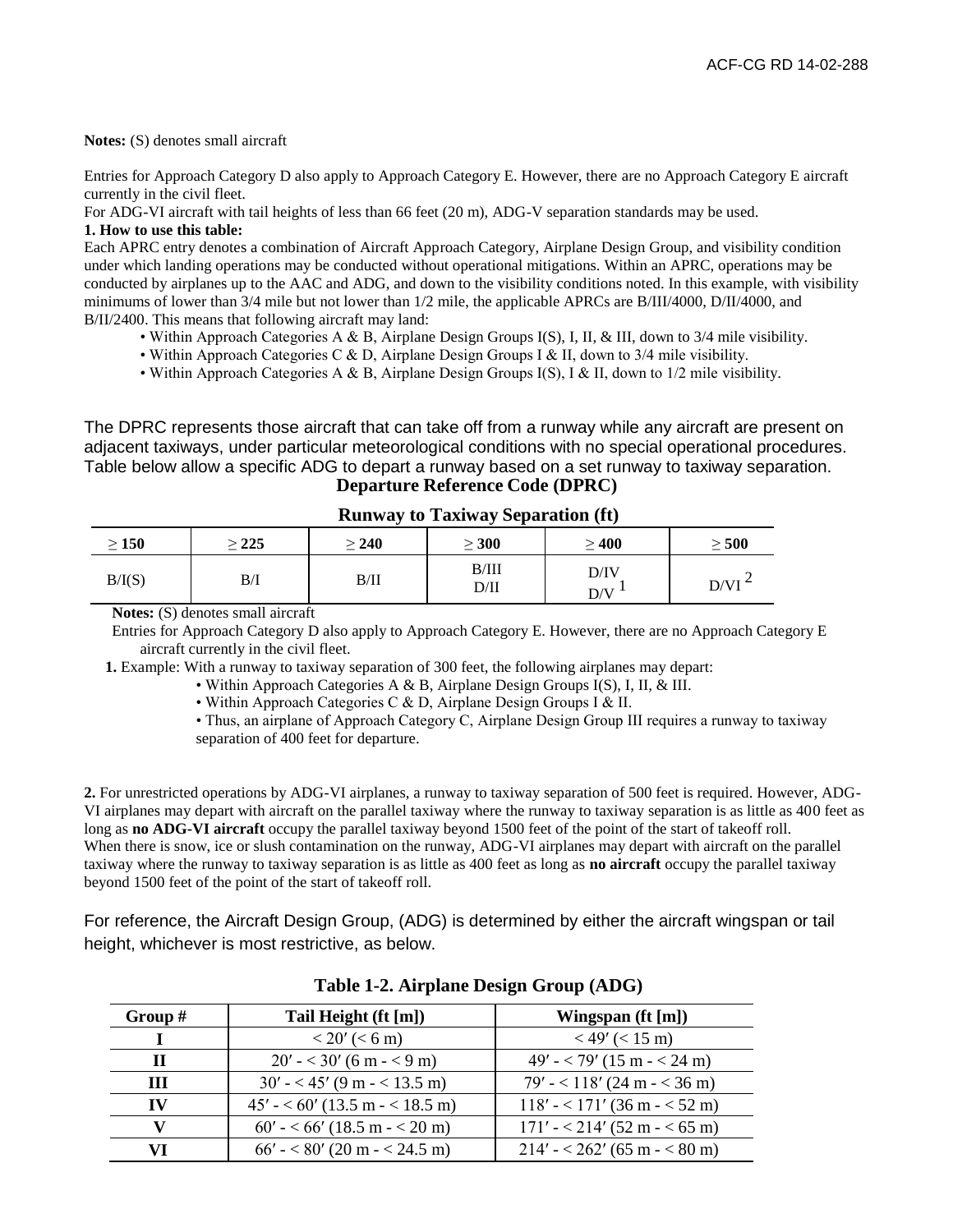**Notes:** (S) denotes small aircraft

Entries for Approach Category D also apply to Approach Category E. However, there are no Approach Category E aircraft currently in the civil fleet.

For ADG-VI aircraft with tail heights of less than 66 feet (20 m), ADG-V separation standards may be used.

#### **1. How to use this table:**

Each APRC entry denotes a combination of Aircraft Approach Category, Airplane Design Group, and visibility condition under which landing operations may be conducted without operational mitigations. Within an APRC, operations may be conducted by airplanes up to the AAC and ADG, and down to the visibility conditions noted. In this example, with visibility minimums of lower than 3/4 mile but not lower than 1/2 mile, the applicable APRCs are B/III/4000, D/II/4000, and B/II/2400. This means that following aircraft may land:

- Within Approach Categories A & B, Airplane Design Groups I(S), I, II, & III, down to 3/4 mile visibility.
- Within Approach Categories C & D, Airplane Design Groups I & II, down to 3/4 mile visibility.
- Within Approach Categories A & B, Airplane Design Groups I(S), I & II, down to 1/2 mile visibility.

The DPRC represents those aircraft that can take off from a runway while any aircraft are present on adjacent taxiways, under particular meteorological conditions with no special operational procedures. Table below allow a specific ADG to depart a runway based on a set runway to taxiway separation. **Departure Reference Code (DPRC)**

| $\geq 150$ | 225 | $\geq 240$ | $\geq 300$    | $\geq 400$  | $\geq 500$ |
|------------|-----|------------|---------------|-------------|------------|
| B/I(S)     | B/I | B/II       | B/III<br>D/II | D/IV<br>D/V | $D/VI^2$   |

|  | <b>Runway to Taxiway Separation (ft)</b> |  |  |  |  |  |
|--|------------------------------------------|--|--|--|--|--|
|--|------------------------------------------|--|--|--|--|--|

**Notes:** (S) denotes small aircraft

Entries for Approach Category D also apply to Approach Category E. However, there are no Approach Category E aircraft currently in the civil fleet.

**1.** Example: With a runway to taxiway separation of 300 feet, the following airplanes may depart:

- Within Approach Categories A & B, Airplane Design Groups I(S), I, II, & III.
	- Within Approach Categories C & D, Airplane Design Groups I & II.
	- Thus, an airplane of Approach Category C, Airplane Design Group III requires a runway to taxiway separation of 400 feet for departure.

**2.** For unrestricted operations by ADG-VI airplanes, a runway to taxiway separation of 500 feet is required. However, ADG-VI airplanes may depart with aircraft on the parallel taxiway where the runway to taxiway separation is as little as 400 feet as long as **no ADG-VI aircraft** occupy the parallel taxiway beyond 1500 feet of the point of the start of takeoff roll. When there is snow, ice or slush contamination on the runway, ADG-VI airplanes may depart with aircraft on the parallel taxiway where the runway to taxiway separation is as little as 400 feet as long as **no aircraft** occupy the parallel taxiway beyond 1500 feet of the point of the start of takeoff roll.

For reference, the Aircraft Design Group, (ADG) is determined by either the aircraft wingspan or tail height, whichever is most restrictive, as below.

| Group $#$ | Tail Height (ft [m])              | Wingspan (ft [m])               |
|-----------|-----------------------------------|---------------------------------|
|           | $< 20'$ ( $< 6$ m)                | $<$ 49' ( $<$ 15 m)             |
| Ш         | $20' - \times 30' (6 m \sim 9 m)$ | $49' - 79'$ (15 m $- 24$ m)     |
| ш         | $30' - < 45'$ (9 m $- < 13.5$ m)  | $79' - 118' (24 m - 36 m)$      |
| IV        | $45' - 60'$ (13.5 m $-$ < 18.5 m) | $118' - 171'$ (36 m $-$ < 52 m) |
|           | $60' - 66'$ (18.5 m $- 20$ m)     | $171' - 214'$ (52 m $-$ < 65 m) |
| VI        | $66' - <80'$ (20 m $- < 24.5$ m)  | $214' - 262'$ (65 m $-$ < 80 m) |

**Table 1-2. Airplane Design Group (ADG)**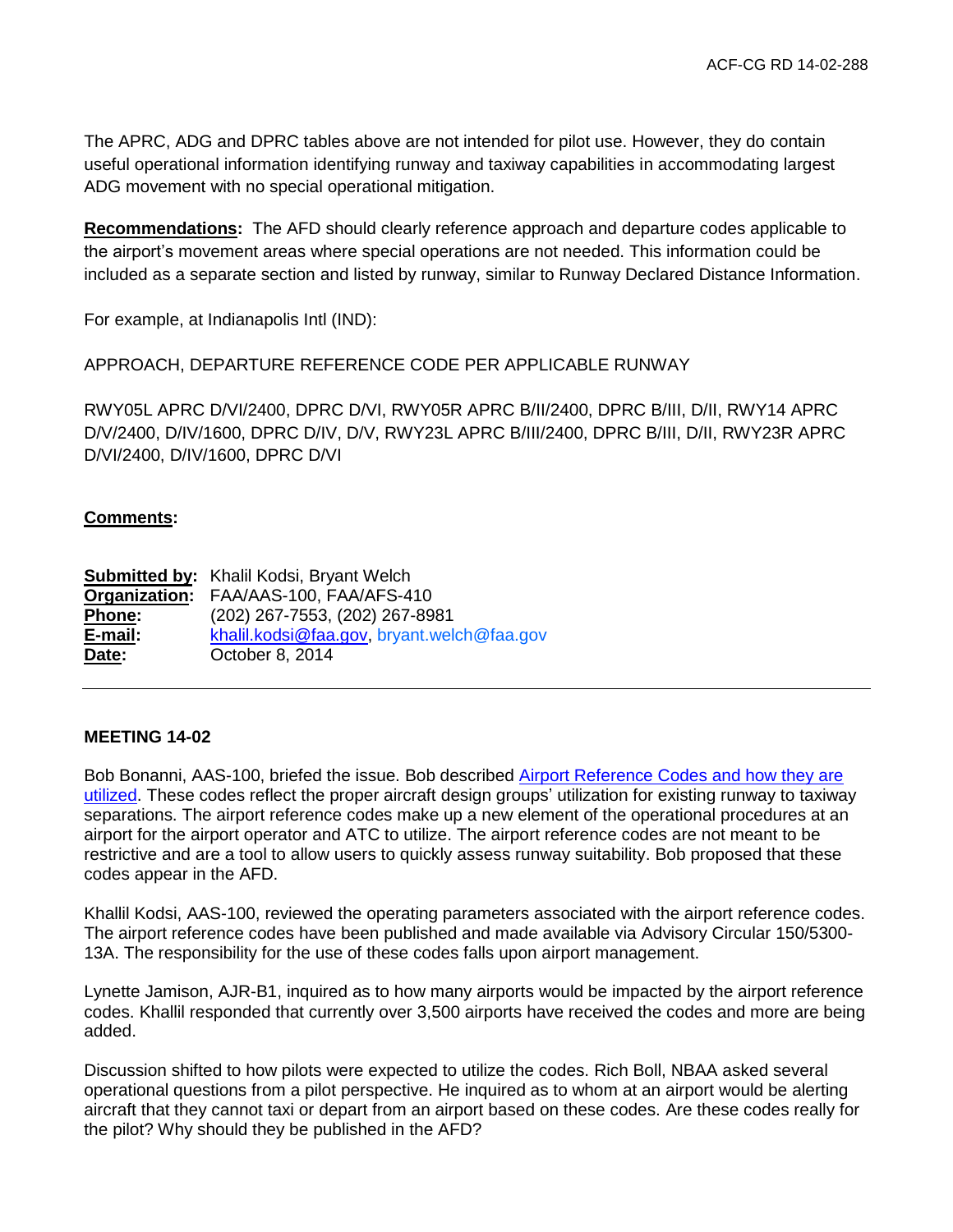The APRC, ADG and DPRC tables above are not intended for pilot use. However, they do contain useful operational information identifying runway and taxiway capabilities in accommodating largest ADG movement with no special operational mitigation.

**Recommendations:** The AFD should clearly reference approach and departure codes applicable to the airport's movement areas where special operations are not needed. This information could be included as a separate section and listed by runway, similar to Runway Declared Distance Information.

For example, at Indianapolis Intl (IND):

APPROACH, DEPARTURE REFERENCE CODE PER APPLICABLE RUNWAY

RWY05L APRC D/VI/2400, DPRC D/VI, RWY05R APRC B/II/2400, DPRC B/III, D/II, RWY14 APRC D/V/2400, D/IV/1600, DPRC D/IV, D/V, RWY23L APRC B/III/2400, DPRC B/III, D/II, RWY23R APRC D/VI/2400, D/IV/1600, DPRC D/VI

# **Comments:**

**Submitted by:** Khalil Kodsi, Bryant Welch **Organization:** FAA/AAS-100, FAA/AFS-410 **Phone:** (202) 267-7553, (202) 267-8981 **E-mail:** [khalil.kodsi@faa.gov,](mailto:khalil.kodsi@faa.gov) bryant.welch@faa.gov **Date:** October 8, 2014

## **MEETING 14-02**

Bob Bonanni, AAS-100, briefed the issue. Bob described [Airport Reference Codes and how they are](http://www.faa.gov/air_traffic/flight_info/aeronav/acf/media/Presentations/14-02-RD288-Airports_Ref_codes.pdf)  [utilized.](http://www.faa.gov/air_traffic/flight_info/aeronav/acf/media/Presentations/14-02-RD288-Airports_Ref_codes.pdf) These codes reflect the proper aircraft design groups' utilization for existing runway to taxiway separations. The airport reference codes make up a new element of the operational procedures at an airport for the airport operator and ATC to utilize. The airport reference codes are not meant to be restrictive and are a tool to allow users to quickly assess runway suitability. Bob proposed that these codes appear in the AFD.

Khallil Kodsi, AAS-100, reviewed the operating parameters associated with the airport reference codes. The airport reference codes have been published and made available via Advisory Circular 150/5300- 13A. The responsibility for the use of these codes falls upon airport management.

Lynette Jamison, AJR-B1, inquired as to how many airports would be impacted by the airport reference codes. Khallil responded that currently over 3,500 airports have received the codes and more are being added.

Discussion shifted to how pilots were expected to utilize the codes. Rich Boll, NBAA asked several operational questions from a pilot perspective. He inquired as to whom at an airport would be alerting aircraft that they cannot taxi or depart from an airport based on these codes. Are these codes really for the pilot? Why should they be published in the AFD?